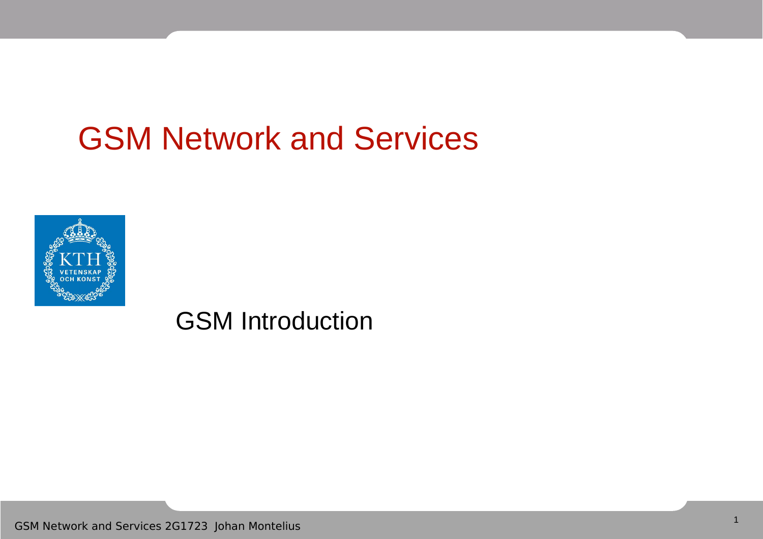## GSM Network and Services



GSM Introduction

GSM Network and Services 2G1723 Johan Montelius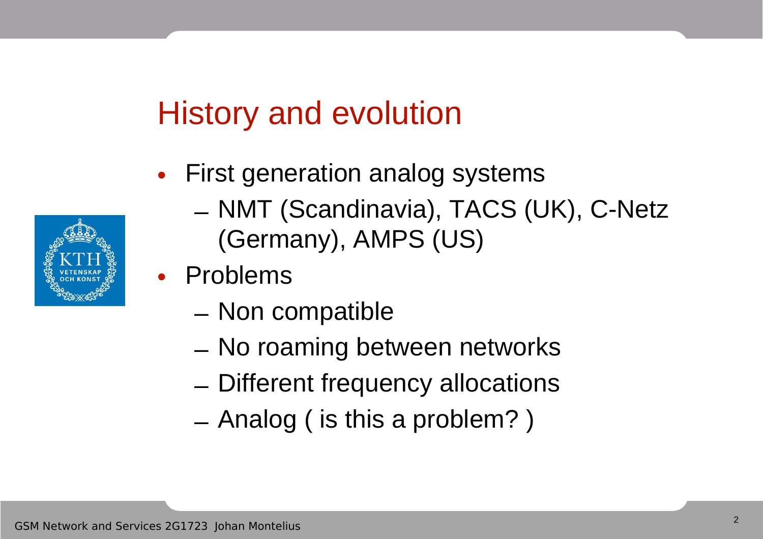## History and evolution

- First generation analog systems
	- NMT (Scandinavia), TACS (UK), C-Netz (Germany), AMPS (US)
- Problems
	- Non compatible
	- No roaming between networks
	- Different frequency allocations
	- Analog ( is this a problem? )

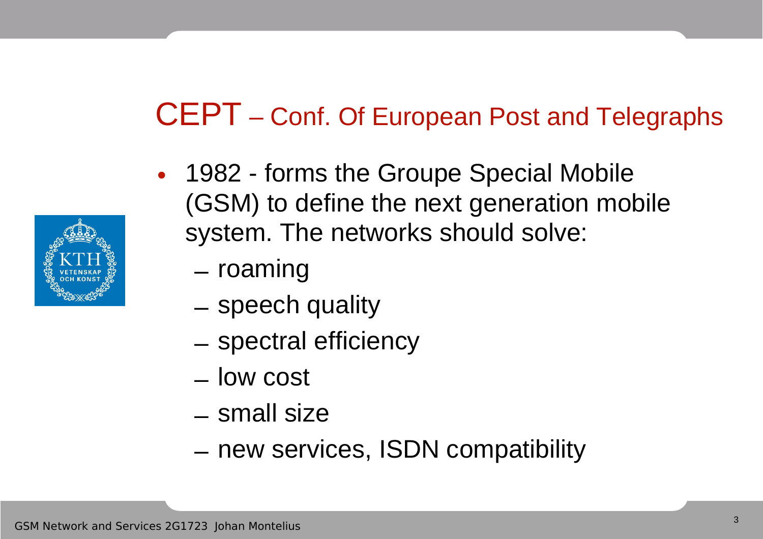#### CEPT – Conf. Of European Post and Telegraphs

- 1982 forms the Groupe Special Mobile (GSM) to define the next generation mobile system. The networks should solve:
	- roaming
	- speech quality
	- spectral efficiency
	- low cost
	- small size
	- new services, ISDN compatibility

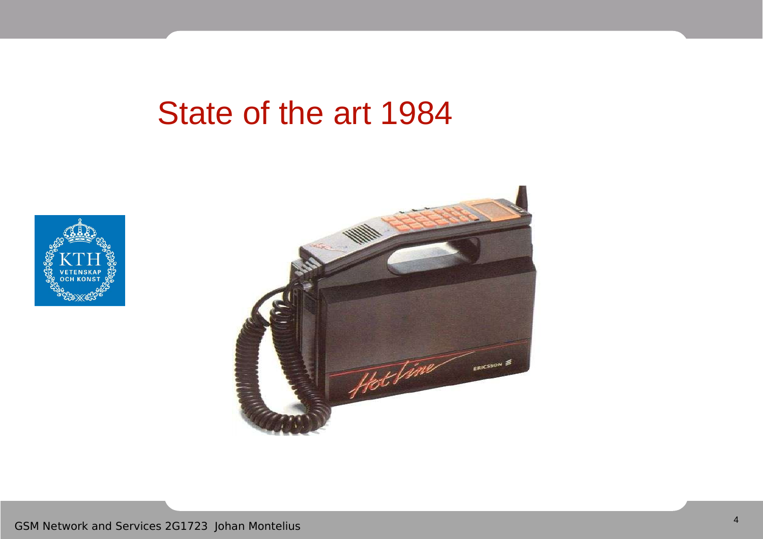#### State of the art 1984



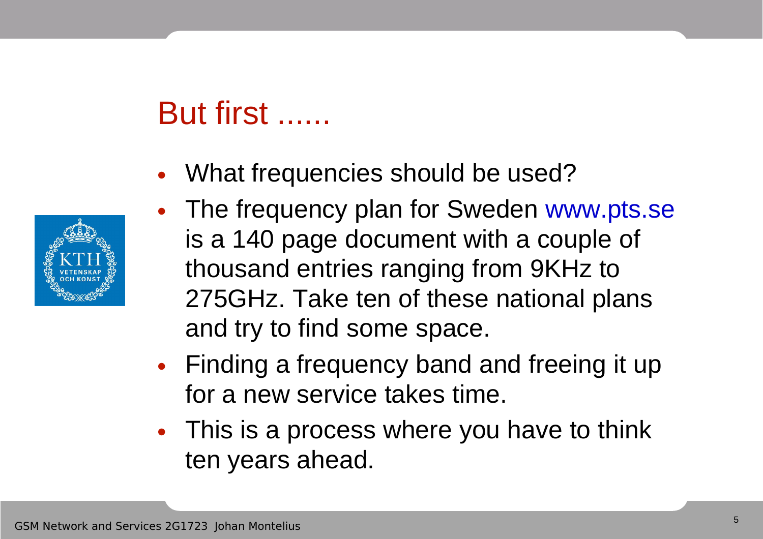## But first ......

• What frequencies should be used?



- The frequency plan for Sweden www.pts.se is a 140 page document with a couple of thousand entries ranging from 9KHz to 275GHz. Take ten of these national plans and try to find some space.
- Finding a frequency band and freeing it up for a new service takes time.
- This is a process where you have to think ten years ahead.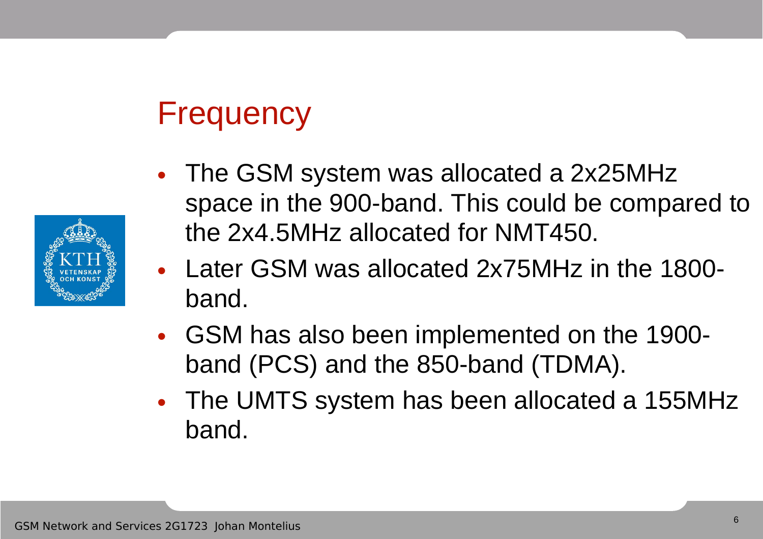# **Frequency**



- Later GSM was allocated 2x75MHz in the 1800 band.
- GSM has also been implemented on the 1900 band (PCS) and the 850-band (TDMA).
- The UMTS system has been allocated a 155MHz band.

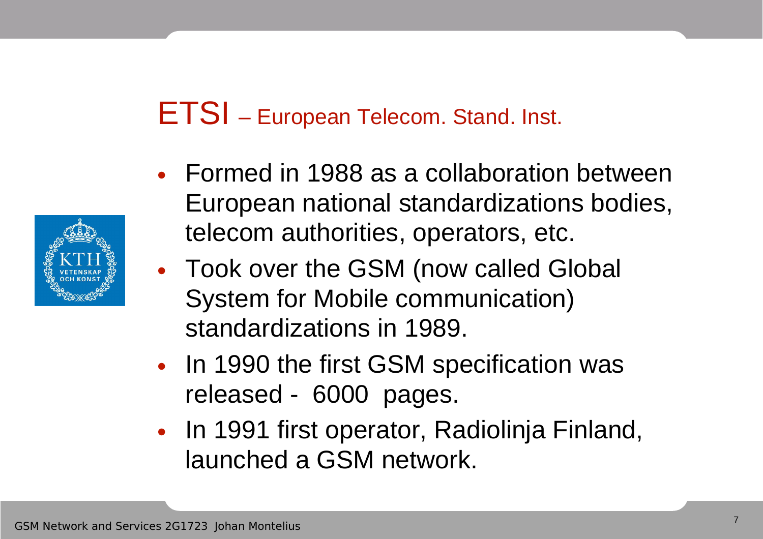#### ETSI – European Telecom. Stand. Inst.

- Formed in 1988 as a collaboration between European national standardizations bodies, telecom authorities, operators, etc.
- Took over the GSM (now called Global System for Mobile communication) standardizations in 1989.
- In 1990 the first GSM specification was released - 6000 pages.
- In 1991 first operator, Radiolinja Finland, launched a GSM network.

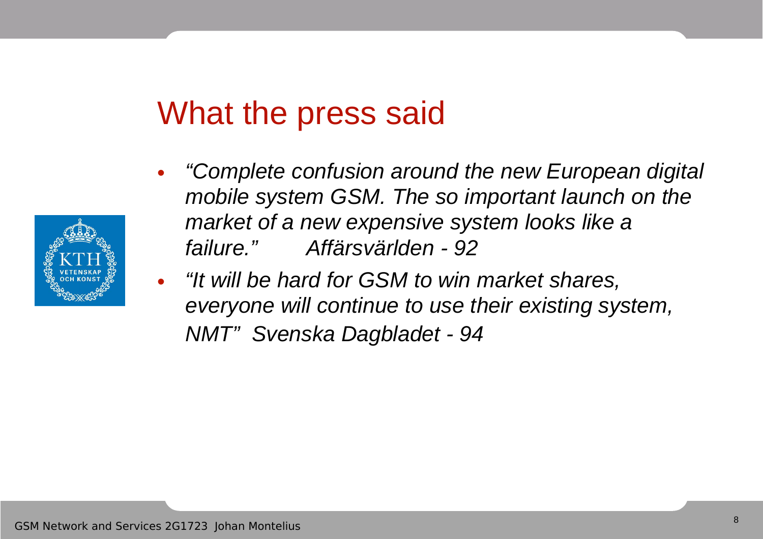#### What the press said

- "Complete confusion around the new European digital mobile system GSM. The so important launch on the market of a new expensive system looks like a failure." Affärsvärlden - 92
- "It will be hard for GSM to win market shares, everyone will continue to use their existing system, NMT" Svenska Dagbladet - 94

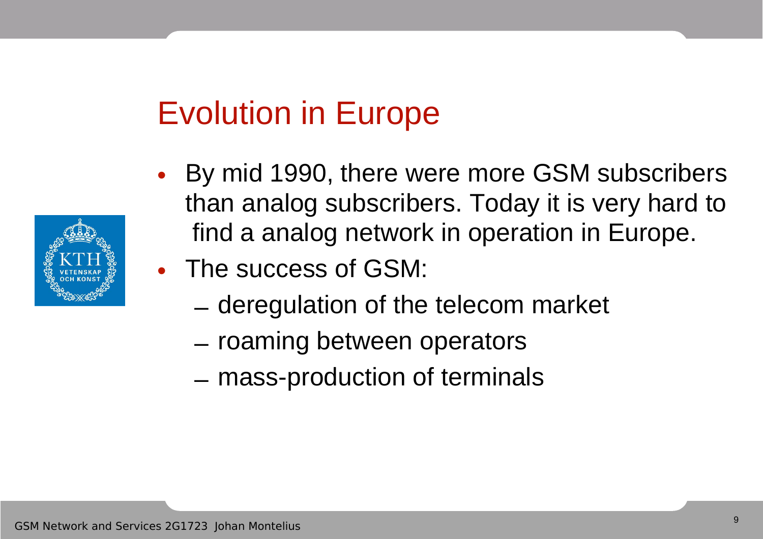## Evolution in Europe

- By mid 1990, there were more GSM subscribers than analog subscribers. Today it is very hard to find a analog network in operation in Europe.
- The success of GSM:
	- deregulation of the telecom market
	- roaming between operators
	- mass-production of terminals

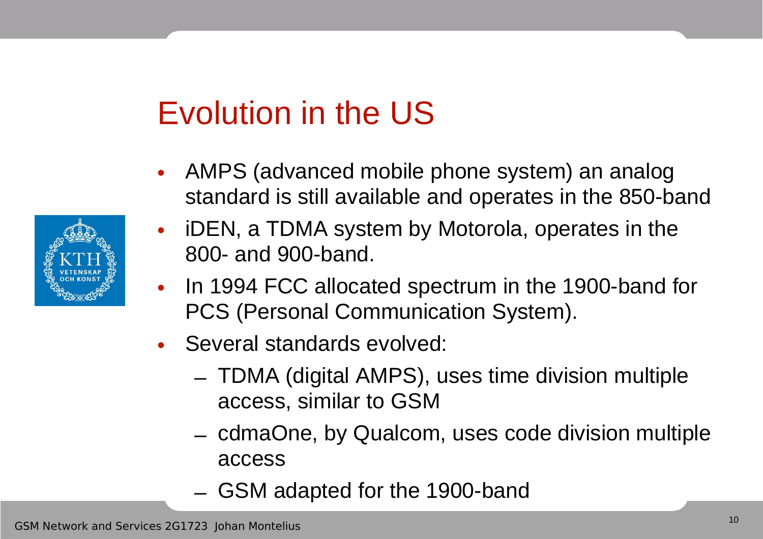## Evolution in the US

- AMPS (advanced mobile phone system) an analog standard is still available and operates in the 850-band
- iDEN, a TDMA system by Motorola, operates in the 800- and 900-band.
- In 1994 FCC allocated spectrum in the 1900-band for PCS (Personal Communication System).
- Several standards evolved:
	- TDMA (digital AMPS), uses time division multiple access, similar to GSM
	- cdmaOne, by Qualcom, uses code division multiple access
	- GSM adapted for the 1900-band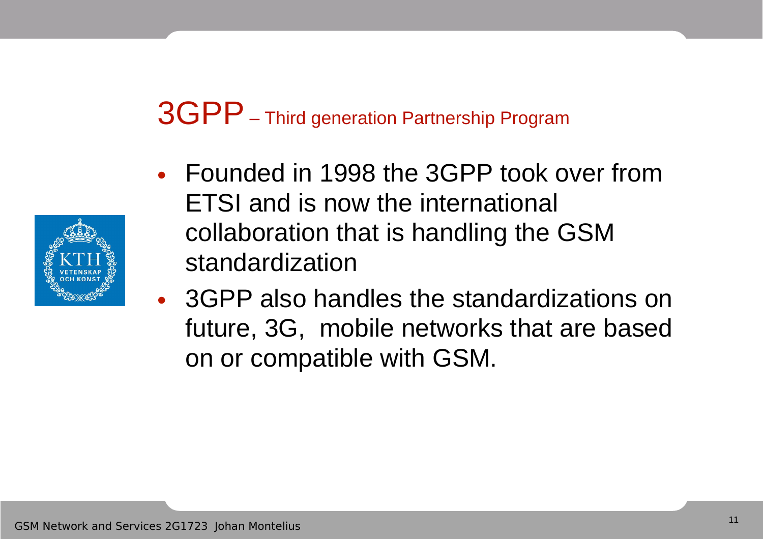#### 3GPP– Third generation Partnership Program



- Founded in 1998 the 3GPP took over from ETSI and is now the international collaboration that is handling the GSM standardization
- 3GPP also handles the standardizations on future, 3G, mobile networks that are based on or compatible with GSM.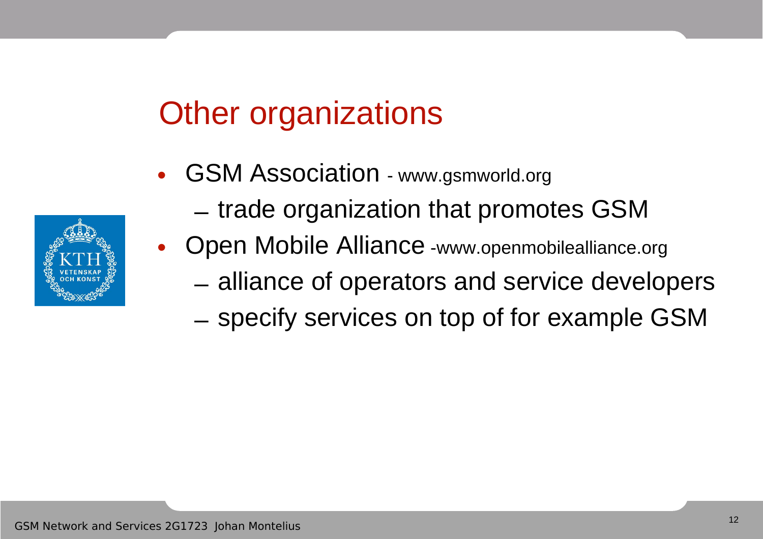# Other organizations

- GSM Association www.gsmworld.org
	- trade organization that promotes GSM
	- Open Mobile Alliance -www.openmobilealliance.org
		- alliance of operators and service developers
		- specify services on top of for example GSM

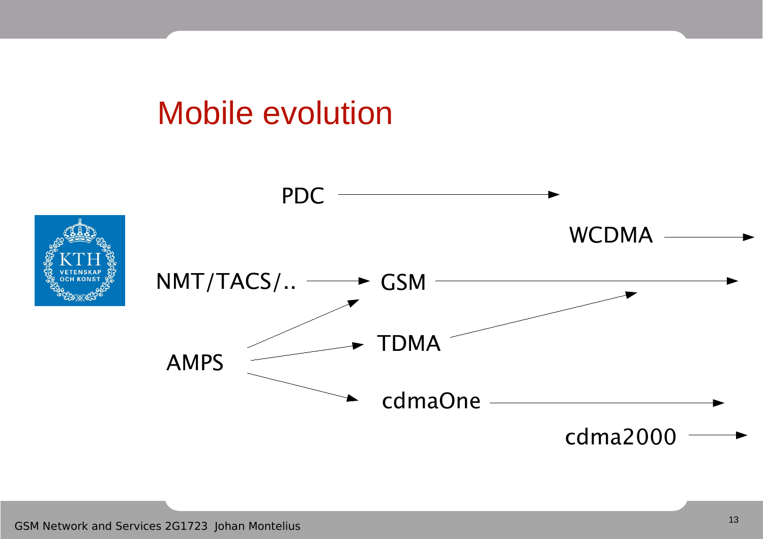#### Mobile evolution

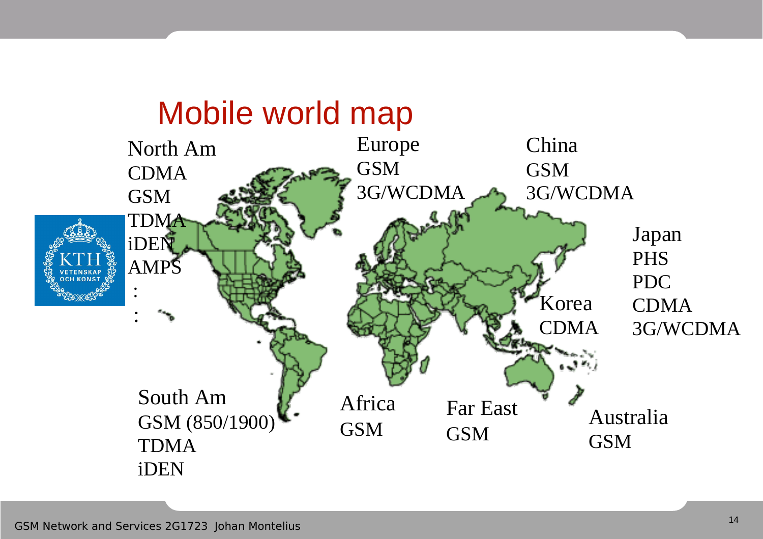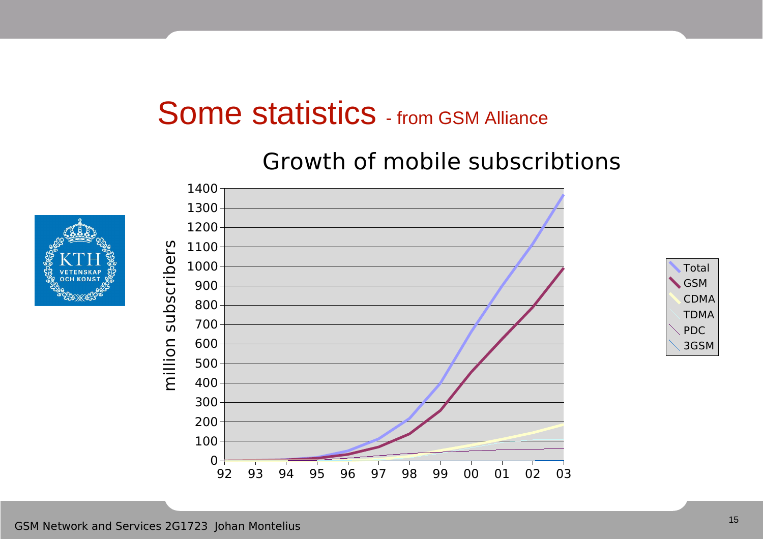#### Some statistics - from GSM Alliance

#### 92 93 94 95 96 97 98 99 00 01 02 03  $0 +$ <br>92 100 200 300 400 500 600 700 800 900 1000 1100 1200 1300 1400 millio  $\subset$ ທ u $\mathbf \Omega$ ທ  $\bm{\mathsf{C}}$ rib eღ<br>L



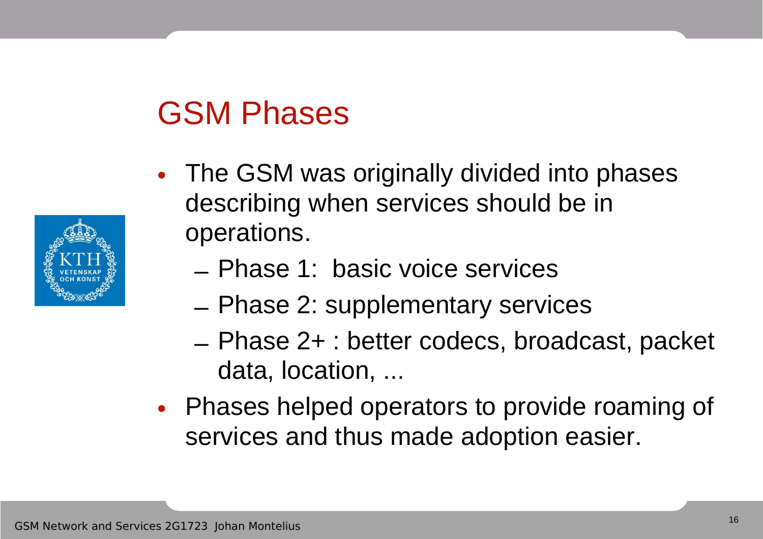## GSM Phases

- The GSM was originally divided into phases describing when services should be in operations.
	- Phase 1: basic voice services
	- Phase 2: supplementary services
	- Phase 2+ : better codecs, broadcast, packet data, location, ...
- Phases helped operators to provide roaming of services and thus made adoption easier.